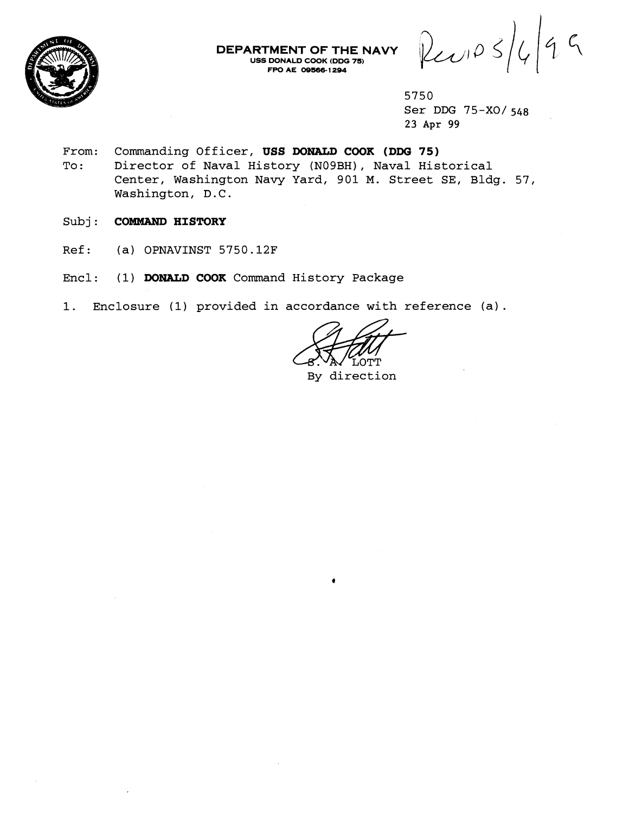

**DEPARTMENT OF THE NAVY USS DONALD COOK (DDG 7s) FPO A€ 08-6- 1 294** 

 $P_{c}$   $\circ$   $\circ$   $|$   $\circ$   $|$   $\circ$   $\circ$ 

- **From: Commanding Officer, USS DONALD COOK (DDG 75) To** : **Director of Naval History (NOgBH), Naval Historical Center, Washington Navy Yard, 901 M. Street SE, Bldg. 57, Washington, D.C.**
- **Subj: COMMAND HISTORY**
- **Ref: (a) OPNAVINST 5750.12F**
- **Encl: (1) DONALD COOK Command History Package**
- **1. Enclosure (1) provided in accordance with reference (a).**

Τ Ο ΤΤ

**By direction** 

**<sup>5750</sup>  Ser DDG 75-X0/ 548 23 Apr 99**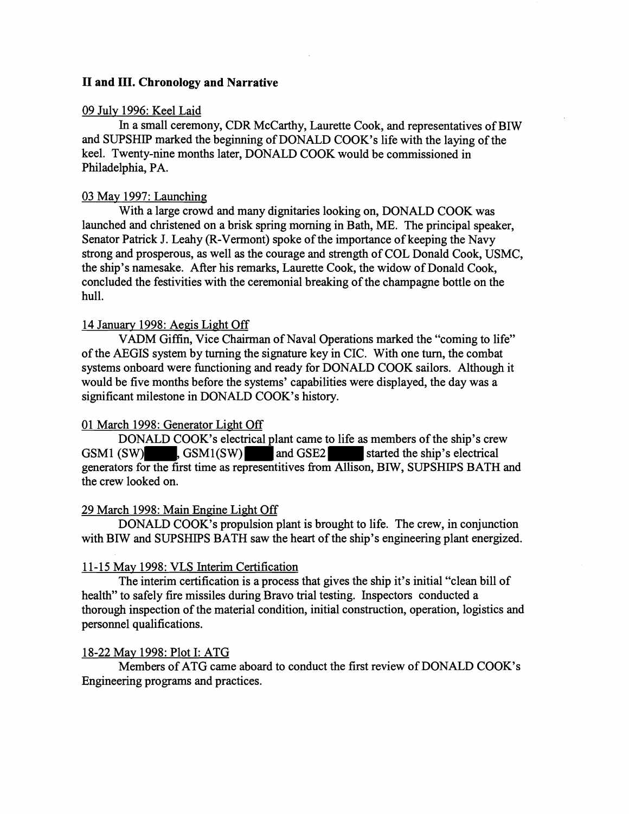# **I1 and 111. Chronology and Narrative**

#### 09 July 1996: Keel Laid

In a small ceremony, CDR McCarthy, Laurette Cook, and representatives of BIW and SUPSHIP marked the beginning of DONALD COOK's life with the laying of the keel. Twenty-nine months later, DONALD COOK would be commissioned in Philadelphia, PA.

#### 03 May 1997: Launching

With a large crowd and many dignitaries looking on, DONALD COOK was launched and christened on a brisk spring morning in Bath, ME. The principal speaker, Senator Patrick J. Leahy (R-Vermont) spoke of the importance of keeping the Navy strong and prosperous, as well as the courage and strength of COL Donald Cook, USMC, the ship's namesake. After his remarks, Laurette Cook, the widow of Donald Cook, concluded the festivities with the ceremonial breaking of the champagne bottle on the hull.

## 14 January 1998: Aegis Light Off

VADM Giffin, Vice Chairman of Naval Operations marked the "coming to life" of the AEGIS system by turning the signature key in CIC. With one turn, the combat systems onboard were functioning and ready for DONALD COOK sailors. Although it would be five months before the systems' capabilities were displayed, the day was a significant milestone in DONALD COOK's history.

#### 01 March 1998: Generator Light Off

DONALD COOK's electrical plant came to life as members of the ship's crew GSM1 (SW) GSM1(SW) and GSE2 started the ship's electrical generators for the first time as representitives from Allison, BIW, SUPSHIPS BATH and the crew looked on.

#### 29 March 1998: Main Engine Light Off

DONALD COOK'S propulsion plant is brought to life. The crew, in conjunction with BIW and SUPSHIPS BATH saw the heart of the ship's engineering plant energized.

#### 11-15 May 1998: VLS Interim Certification

The interim certification is a process that gives the ship it's initial "clean bill of health" to safely fire missiles during Bravo trial testing. Inspectors conducted a thorough inspection of the material condition, initial construction, operation, logistics and personnel qualifications.

#### 18-22 May 1998: Plot I: ATG

Members of ATG came aboard to conduct the first review of DONALD COOK's Engineering programs and practices.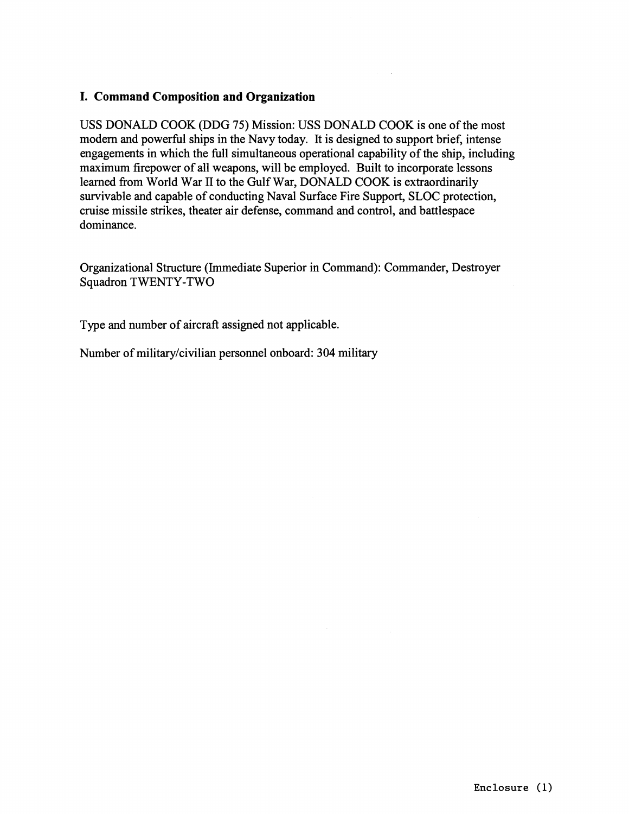# **I. Command Composition and Organization**

USS DONALD COOK (DDG 75) Mission: USS DONALD COOK is one of the most modern and powerful ships in the Navy today. It is designed to support brief, intense engagements in which the full simultaneous operational capability of the ship, including maximum firepower of all weapons, will be employed. Built to incorporate lessons learned from World War II to the Gulf War, DONALD COOK is extraordinarily survivable and capable of conducting Naval Surface Fire Support, SLOC protection, cruise missile strikes, theater air defense, command and control, and battlespace dominance.

Organizational Structure (Immediate Superior in Command): Commander, Destroyer Squadron TWENTY-TWO

Type and number of aircraft assigned not applicable.

Number of militarylcivilian personnel onboard: **304** military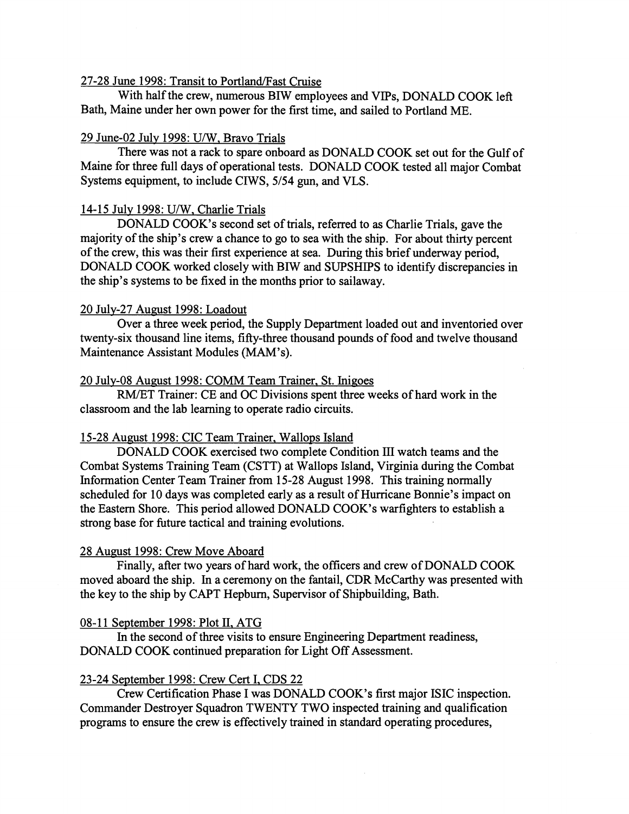#### 27-28 June 1998: Transit to Portland/Fast Cruise

With half the crew, numerous BIW employees and VIPs, DONALD COOK left Bath, Maine under her own power for the first time, and sailed to Portland ME.

#### 29 June-02 July 1998: U/W, Bravo Trials

There was not a rack to spare onboard as DONALD COOK set out for the Gulf of Maine for three full days of operational tests. DONALD COOK tested all major Combat Systems equipment, to include CIWS, 5/54 gun, and VLS.

#### 14-15 July 1998: U/W, Charlie Trials

DONALD COOK's second set of trials, referred to as Charlie Trials, gave the majority of the ship's crew a chance to go to sea with the ship. For about thirty percent of the crew, this was their first experience at sea. During this brief underway period, DONALD COOK worked closely with BIW and SUPSHIPS to identify discrepancies in the ship's systems to be fixed in the months prior to sailaway.

#### 20 July-27 August 1998: Loadout

Over a three week period, the Supply Department loaded out and inventoried over twenty-six thousand line items, fifty-three thousand pounds of food and twelve thousand Maintenance Assistant Modules (MAM's).

#### 20 July-08 August 1998: COMM Team Trainer, St. Inigoes

RM/ET Trainer: CE and OC Divisions spent three weeks of hard work in the classroom and the lab learning to operate radio circuits.

#### 15-28 August 1998: CIC Team Trainer, Wallops Island

DONALD COOK exercised two complete Condition **III** watch teams and the Combat Systems Training Team (CSTT) at Wallops Island, Virginia during the Combat Information Center Team Trainer from 15-28 August 1998. This training normally scheduled for 10 days was completed early as a result of Hurricane Bonnie's impact on the Eastern Shore. This period allowed DONALD COOK's warfighters to establish a strong base for future tactical and training evolutions.

#### 28 August 1998: Crew Move Aboard

Finally, after two years of hard work, the officers and crew of DONALD COOK moved aboard the ship. In a ceremony on the fantail, CDR McCarthy was presented with the key to the ship by CAPT Hepburn, Supervisor of Shipbuilding, Bath.

#### 08-1 1 September 1998: Plot **11.** ATG

In the second of three visits to ensure Engineering Department readiness, DONALD COOK continued preparation for Light Off Assessment.

#### 23-24 September 1998: Crew Cert I, CDS 22

Crew Certification Phase I was DONALD COOK's first major ISIC inspection. Commander Destroyer Squadron TWENTY TWO inspected training and qualification programs to ensure the crew is effectively trained in standard operating procedures,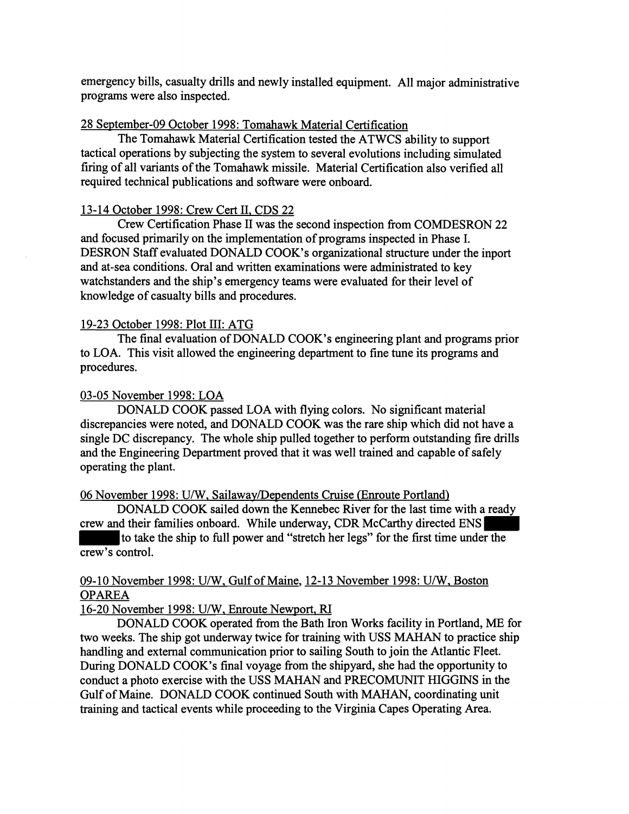emergency bills, casualty drills and newly installed equipment. All major administrative programs were also inspected.

# 28 September-09 October 1998: Tomahawk Material Certification

The Tomahawk Material Certification tested the ATWCS ability to support tactical operations by subjecting the system to several evolutions including simulated firing of all variants of the Tomahawk missile. Material Certification also verified all required technical publications and software were onboard.

# 13-14 October 1998: Crew Cert 11, CDS 22

Crew Certification Phase I1 was the second inspection from COMDESRON 22 and focused primarily on the implementation of programs inspected in Phase I. DESRON Staff evaluated DONALD COOK's organizational structure under the inport and at-sea conditions. Oral and written examinations were administrated to key watchstanders and the ship's emergency teams were evaluated for their level of knowledge of casualty bills and procedures.

# 19-23 October 1998: Plot 111: ATG

The final evaluation of DONALD COOK's engineering plant and programs prior to LOA. This visit allowed the engineering department to fine tune its programs and procedures.

# 03-05 November 1998: LOA

DONALD COOK passed LOA with flying colors. No significant material discrepancies were noted, and DONALD COOK was the rare ship which did not have a single DC discrepancy. The whole ship pulled together to perform outstanding fire drills and the Engineering Department proved that it was well trained and capable of safely operating the plant.

06 November 1998: U/W, Sailaway/Dependents Cruise (Enroute Portland)

DONALD COOK sailed down the Kennebec River for the last time with a ready crew and their families onboard. While underway, CDR McCarthy directed ENS to take the ship to full power and "stretch her legs" for the first time under the

crew's control.

# 09-10 November 1998: U/W, Gulf of Maine, 12-13 November 1998: U/W, Boston OPAREA

16-20 November 1998: U/W, Enroute Newport, RI

DONALD COOK operated fiom the Bath Iron Works facility in Portland, ME for two weeks. The ship got underway twice for training with USS MAHAN to practice ship handling and external communication prior to sailing South to join the Atlantic Fleet. During DONALD COOK's final voyage from the shipyard, she had the opportunity to conduct a photo exercise with the USS MAHAN and PRECOMUNIT HIGGINS in the Gulf of Maine. DONALD COOK continued South with MAHAN, coordinating unit training and tactical events while proceeding to the Virginia Capes Operating Area.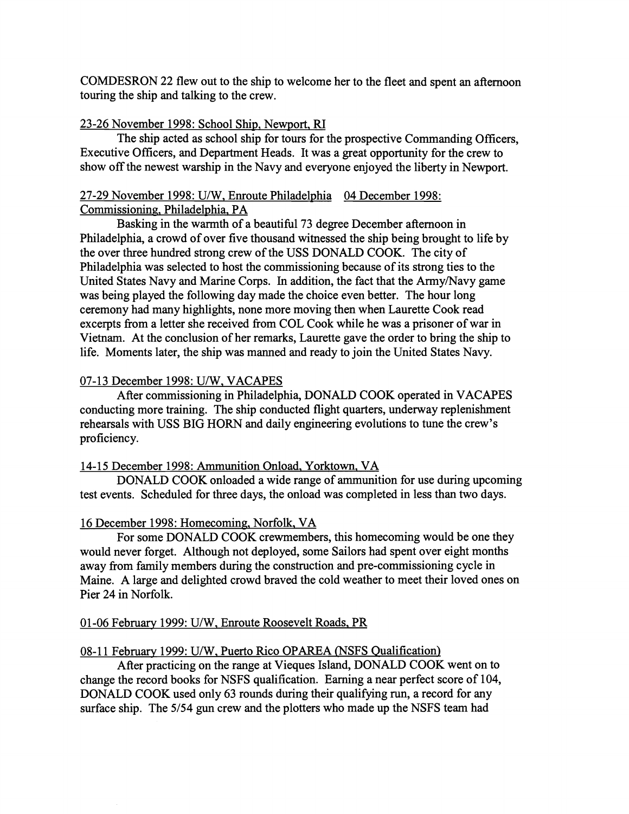COMDESRON **22** flew out to the ship to welcome her to the fleet and spent an afternoon touring the ship and talking to the crew.

# **23-26** November **1998:** School Ship, Newport, **RI**

The ship acted as school ship for tours for the prospective Commanding Officers, Executive Officers, and Department Heads. It was a great opportunity for the crew to show off the newest warship in the Navy and everyone enjoyed the liberty in Newport.

# **27-29** November **1998:** UIW, Enroute Philadelphia **04** December **1998:**  Commissioning, Philadelphia, PA

Basking in the warmth of a beautiful **73** degree December afternoon in Philadelphia, a crowd of over five thousand witnessed the ship being brought to life by the over three hundred strong crew of the USS DONALD COOK. The city of Philadelphia was selected to host the commissioning because of its strong ties to the United States Navy and Marine Corps. In addition, the fact that the Army/Navy game was being played the following day made the choice even better. The hour long ceremony had many highlights, none more moving then when Laurette Cook read excerpts from a letter she received from COL Cook while he was a prisoner of war in Vietnam. At the conclusion of her remarks, Laurette gave the order to bring the ship to life. Moments later, the ship was manned and ready to join the United States Navy.

# 07-13 December 1998: U/W, VACAPES

After commissioning in Philadelphia, DONALD COOK operated in VACAPES conducting more training. The ship conducted flight quarters, underway replenishment rehearsals with USS BIG HORN and daily engineering evolutions to tune the crew's proficiency.

#### 14- 15 December **1998:** Ammunition Onload. Yorktown, VA

DONALD COOK onloaded a wide range of ammunition for use during upcoming test events. Scheduled for three days, the onload was completed in less than two days.

# **16** December **1998:** Homecoming, Norfolk. VA

For some DONALD COOK crewmembers, this homecoming would be one they would never forget. Although not deployed, some Sailors had spent over eight months away from family members during the construction and pre-commissioning cycle in Maine. A large and delighted crowd braved the cold weather to meet their loved ones on Pier **24** in Norfolk.

#### **01 -06** Februarv **1999:** U/W. Enroute Roosevelt Roads, PR

# 08-11 February 1999: U/W, Puerto Rico OPAREA (NSFS Qualification)

After practicing on the range at Vieques Island, DONALD COOK went on to change the record books for NSFS qualification. Earning a near perfect score of **104,**  DONALD COOK used only **63** rounds during their qualifying run, a record for any surface ship. The 5/54 gun crew and the plotters who made up the NSFS team had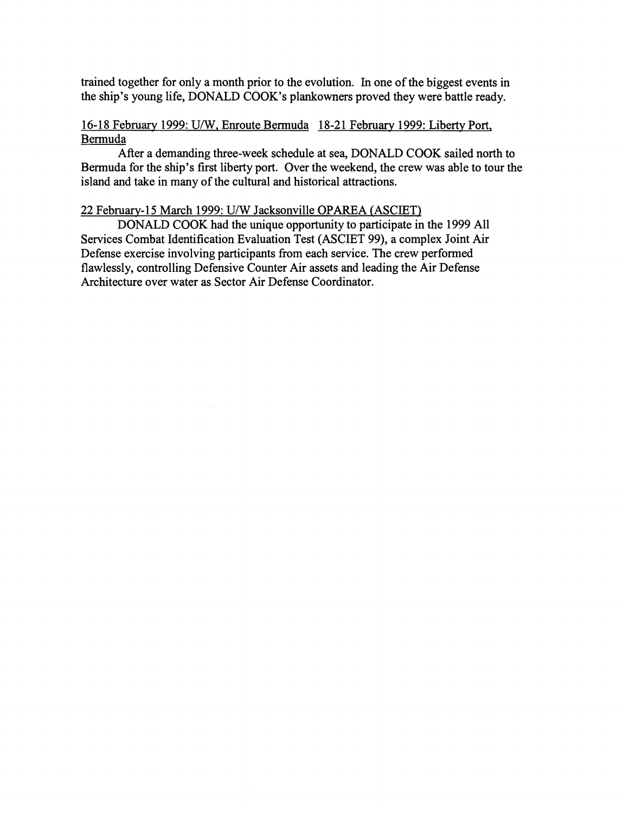trained together for only a month prior to the evolution. In one of the biggest events in the ship's young life, DONALD COOK'S plankowners proved they were battle ready.

# 16-18 February 1999: U/W, Enroute Bermuda 18-21 February 1999: Liberty Port, Bermuda

After a demanding three-week schedule at sea, DONALD COOK sailed north to Bermuda for the ship's first liberty port. Over the weekend, the crew was able to tour the island and take in many of the cultural and historical attractions.

#### 22 Februarv-15 March 1999: U/W Jacksonville OPAREA (ASCIET)

DONALD COOK had the unique opportunity to participate in the 1999 All Services Combat Identification Evaluation Test (ASCIET 99), a complex Joint Air Defense exercise involving participants from each service. The crew performed flawlessly, controlling Defensive Counter Air assets and leading the Air Defense Architecture over water as Sector Air Defense Coordinator.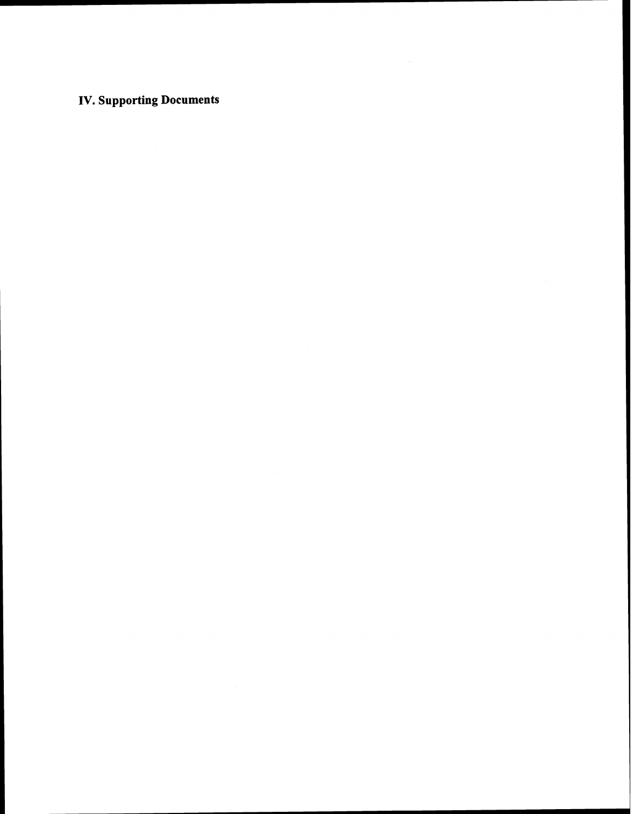# **IV. Supporting Documents**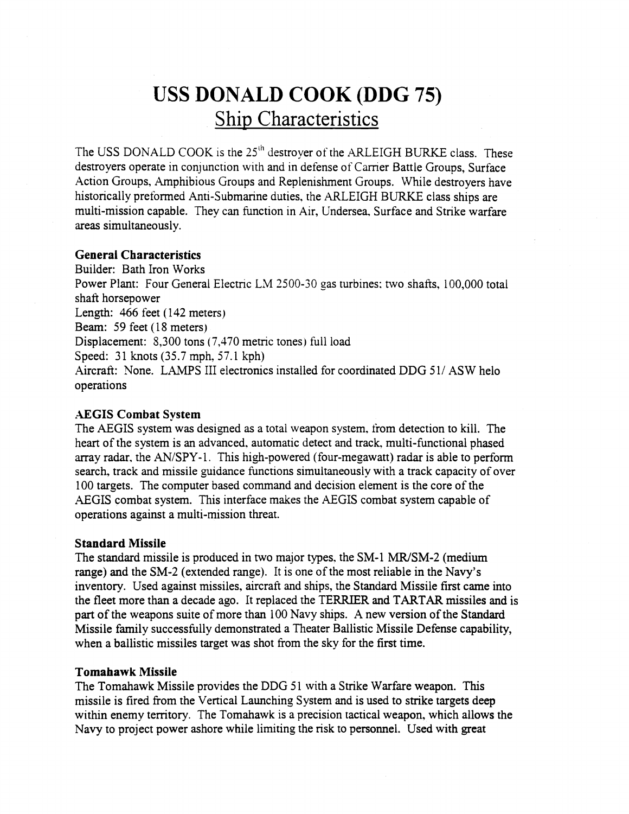# **USS DONALD COOK (DDG 75)**  Ship Characteristics

The USS DONALD COOK is the 25<sup>th</sup> destroyer of the ARLEIGH BURKE class. These destroyers operate in conjunction with and in defense of Carner Battle Groups, Surface Action Groups, Amphibious Groups and Replenishment Groups. While destroyers have historically preformed Anti-Submarine duties, the ARLEIGH BURKE class ships are multi-mission capable. They can function in Air, Undersea. Surface and Strike warfare areas simultaneously.

# **General Characteristics**

Builder: Bath Iron Works Power Plant: Four General Electric LM 2500-30 gas turbines: two shafts, 100,000 total shaft horsepower Length:  $466$  feet  $(142$  meters) Beam: 59 feet (18 meters) Displacement: 8,300 tons (7,470 metric tones) full load Speed: 31 knots (35.7 mph, 57.1 kph) Aircraft: None. LAMPS III electronics installed for coordinated DDG 51/ASW helo operations

# AEGIS **Combat System**

The AEGIS system was designed as a total weapon system. from detection to kill. The heart of the system is an advanced. automatic detect and track. multi-functional phased array radar, the  $AN/SPY-1$ . This high-powered (four-megawatt) radar is able to perform search, track and missile guidance functions simultaneously with a track capacity of over 100 targets. The computer based command and decision element is the core of the AEGIS combat system. This interface makes the AEGIS combat system capable of operations against a multi-mission threat.

#### **Standard Missile**

The standard missile is produced in two major types, the SM-1 MR/SM-2 (medium range) and the SM-2 (extended range). It is one of the most reliable in the Navy's inventory. Used against missiles, aircraft and ships, the Standard Missile first came into the fleet more than a decade ago. It replaced the TERRIER and TARTAR missiles and is part of the weapons suite of more than 100 Navy ships. **A** new version of the Standard Missile family successfully demonstrated a Theater Ballistic Missile Defense capability, when a ballistic missiles target was shot from the sky for the first time.

#### **Tomahawk Missile**

The Tomahawk Missile provides the DDG 51 with a Strike Warfare weapon. This missile is fired from the Vertical Launching System and is used to strike targets deep within enemy territory. The Tomahawk is a precision tactical weapon, which allows the Navy to project power ashore while limiting the risk to personnel. Used with great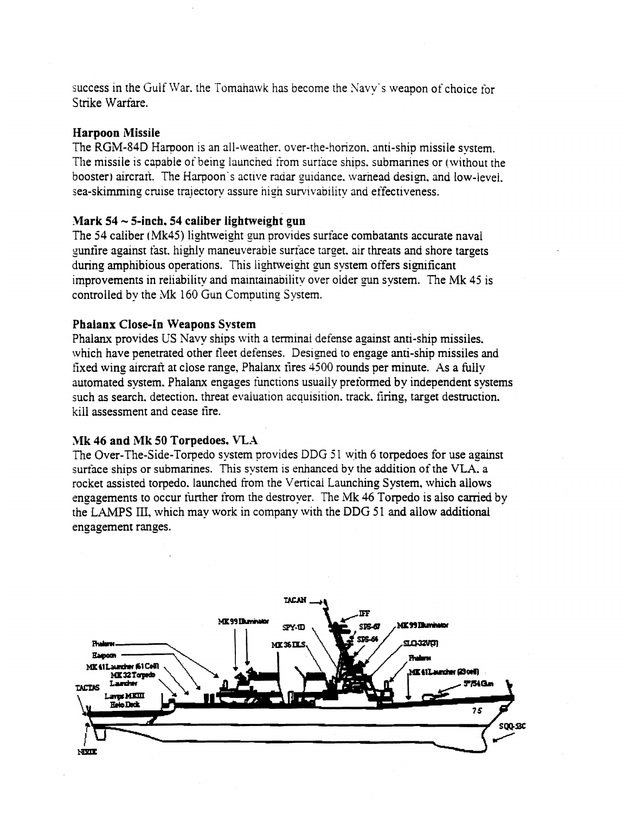success in the Gulf War. the Tomahawk has become the Xavy's weapon of choice for Strike Warfare.

# **Harpoon Missile**

The RGM-84D Harpoon is an all-weather. over-the-horizon, anti-ship missile system. The missile is capable of being launched from surface ships, submarines or (without the booster) aircrari. The Harpoon's active radar guidance. warnead design, and low-level. sea-skimming cruise trajectory assure nigh survivabiiity and effectiveness.

# **.Mark 54** - **5-inch. 54 caliber lightweight gun**

The **54** caliber (Mk45) lightweight gun provides surface combatants accurate naval gunfire against fast, highly maneuverable surface target, air threats and shore targets during amphibious operations. This lightweight gun system offers significant improvements in reliability and mainrainabilitv over oider gun system. The Mk 45 is controiled by the **Mk** 160 **Gun** Computing System.

# **Phalanx Close-in Weapons System**

Phalanx provides **US** Navy ships with a terminal defense against anti-ship missiles. which have penetrated other fleet defenses. Designed to engage anti-ship missiles and fixed wing aircraft at close range, Phalanx fires 4500 rounds per minute. As a fully automated system. Phalanx engages functions usually preformed by independent systems such as search. detection. threat evaluation acquisition. track. firing, target destruction. kill assessment and cease fire.

#### Mk 46 and Mk 50 Torpedoes, VLA

The Over-The-Side-Torpedo system provides DDG **5** 1 with 6 torpedoes for use against surface ships or submarines. This system is enhanced by the addition of the VLA. a rocket assisted torpedo. launched from the Vertical Launching System, which allows engagements to occur further from the destroyer. The Mk 46 Torpedo is also carried by the LAMPS III, which may work in company with the DDG 51 and allow additional engagement ranges.